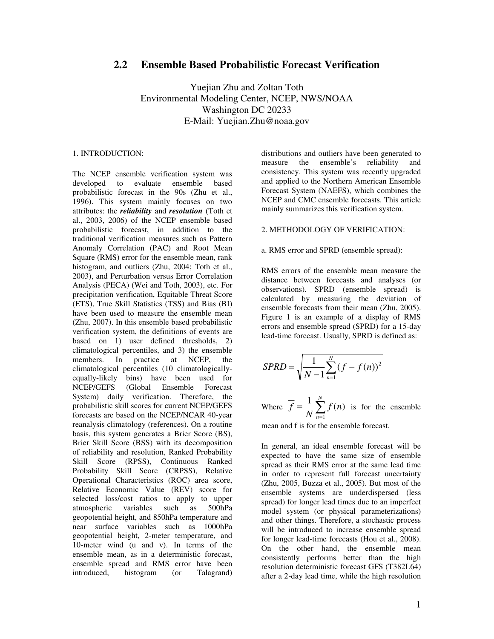# **2.2 Ensemble Based Probabilistic Forecast Verification**

Yuejian Zhu and Zoltan Toth Environmental Modeling Center, NCEP, NWS/NOAA Washington DC 20233 E-Mail: Yuejian.Zhu@noaa.gov

# 1. INTRODUCTION:

The NCEP ensemble verification system was developed to evaluate ensemble based probabilistic forecast in the 90s (Zhu et al., 1996). This system mainly focuses on two attributes: the *reliability* and *resolution* (Toth et al., 2003, 2006) of the NCEP ensemble based probabilistic forecast, in addition to the traditional verification measures such as Pattern Anomaly Correlation (PAC) and Root Mean Square (RMS) error for the ensemble mean, rank histogram, and outliers (Zhu, 2004; Toth et al., 2003), and Perturbation versus Error Correlation Analysis (PECA) (Wei and Toth, 2003), etc. For precipitation verification, Equitable Threat Score (ETS), True Skill Statistics (TSS) and Bias (BI) have been used to measure the ensemble mean (Zhu, 2007). In this ensemble based probabilistic verification system, the definitions of events are based on 1) user defined thresholds, 2) climatological percentiles, and 3) the ensemble In practice at NCEP, the climatological percentiles (10 climatologicallyequally-likely bins) have been used for<br>NCEP/GEFS (Global Ensemble Forecast (Global Ensemble Forecast System) daily verification. Therefore, the probabilistic skill scores for current NCEP/GEFS forecasts are based on the NCEP/NCAR 40-year reanalysis climatology (references). On a routine basis, this system generates a Brier Score (BS), Brier Skill Score (BSS) with its decomposition of reliability and resolution, Ranked Probability Skill Score (RPSS), Continuous Ranked Probability Skill Score (CRPSS), Relative Operational Characteristics (ROC) area score, Relative Economic Value (REV) score for selected loss/cost ratios to apply to upper<br>atmospheric variables such as 500hPa atmospheric variables such as geopotential height, and 850hPa temperature and near surface variables such as 1000hPa geopotential height, 2-meter temperature, and 10-meter wind (u and v). In terms of the ensemble mean, as in a deterministic forecast, ensemble spread and RMS error have been introduced, histogram (or Talagrand)

distributions and outliers have been generated to measure the ensemble's reliability and consistency. This system was recently upgraded and applied to the Northern American Ensemble Forecast System (NAEFS), which combines the NCEP and CMC ensemble forecasts. This article mainly summarizes this verification system.

#### 2. METHODOLOGY OF VERIFICATION:

#### a. RMS error and SPRD (ensemble spread):

RMS errors of the ensemble mean measure the distance between forecasts and analyses (or observations). SPRD (ensemble spread) is calculated by measuring the deviation of ensemble forecasts from their mean (Zhu, 2005). Figure 1 is an example of a display of RMS errors and ensemble spread (SPRD) for a 15-day lead-time forecast. Usually, SPRD is defined as:

$$
SPRD = \sqrt{\frac{1}{N-1} \sum_{n=1}^{N} (\overline{f} - f(n))^2}
$$

Where 
$$
\overline{f} = \frac{1}{N} \sum_{n=1}^{N} f(n)
$$
 is for the ensemble

mean and f is for the ensemble forecast.

In general, an ideal ensemble forecast will be expected to have the same size of ensemble spread as their RMS error at the same lead time in order to represent full forecast uncertainty (Zhu, 2005, Buzza et al., 2005). But most of the ensemble systems are underdispersed (less spread) for longer lead times due to an imperfect model system (or physical parameterizations) and other things. Therefore, a stochastic process will be introduced to increase ensemble spread for longer lead-time forecasts (Hou et al., 2008). On the other hand, the ensemble mean consistently performs better than the high resolution deterministic forecast GFS (T382L64) after a 2-day lead time, while the high resolution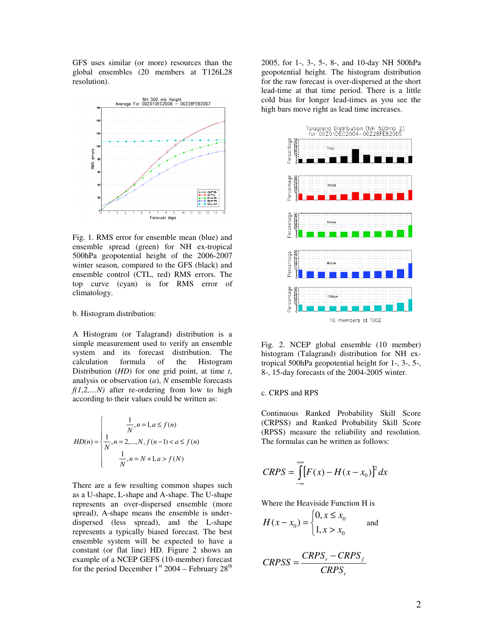GFS uses similar (or more) resources than the global ensembles (20 members at T126L28 resolution).



Fig. 1. RMS error for ensemble mean (blue) and ensemble spread (green) for NH ex-tropical 500hPa geopotential height of the 2006-2007 winter season, compared to the GFS (black) and ensemble control (CTL, red) RMS errors. The top curve (cyan) is for RMS error of climatology.

#### b. Histogram distribution:

A Histogram (or Talagrand) distribution is a simple measurement used to verify an ensemble system and its forecast distribution. The calculation formula of the Histogram Distribution (*HD*) for one grid point, at time *t*, analysis or observation (*a*), *N* ensemble forecasts *f(1,2,…N)* after re-ordering from low to high according to their values could be written as:

$$
HD(n) = \begin{cases} \frac{1}{N}, n = 1, a \le f(n) \\ \frac{1}{N}, n = 2, ..., N, f(n-1) < a \le f(n) \\ \frac{1}{N}, n = N + 1, a > f(N) \end{cases}
$$

There are a few resulting common shapes such as a U-shape, L-shape and A-shape. The U-shape represents an over-dispersed ensemble (more spread), A-shape means the ensemble is underdispersed (less spread), and the L-shape represents a typically biased forecast. The best ensemble system will be expected to have a constant (or flat line) HD. Figure 2 shows an example of a NCEP GEFS (10-member) forecast for the period December  $1<sup>st</sup>$  2004 – February 28<sup>th</sup>

2005, for 1-, 3-, 5-, 8-, and 10-day NH 500hPa geopotential height. The histogram distribution for the raw forecast is over-dispersed at the short lead-time at that time period. There is a little cold bias for longer lead-times as you see the high bars move right as lead time increases.



Fig. 2. NCEP global ensemble (10 member) histogram (Talagrand) distribution for NH extropical 500hPa geopotential height for 1-, 3-, 5-, 8-, 15-day forecasts of the 2004-2005 winter.

## c. CRPS and RPS

Continuous Ranked Probability Skill Score (CRPSS) and Ranked Probability Skill Score (RPSS) measure the reliability and resolution. The formulas can be written as follows:

$$
CRPS = \int_{-\infty}^{+\infty} [F(x) - H(x - x_0)]^2 dx
$$

Where the Heaviside Function H is

$$
H(x - x_0) = \begin{cases} 0, & x \leq x_0 \\ 1, & x > x_0 \end{cases}
$$
 and

$$
CRPSS = \frac{CRPS_r - CRPS_f}{CRPS_r}
$$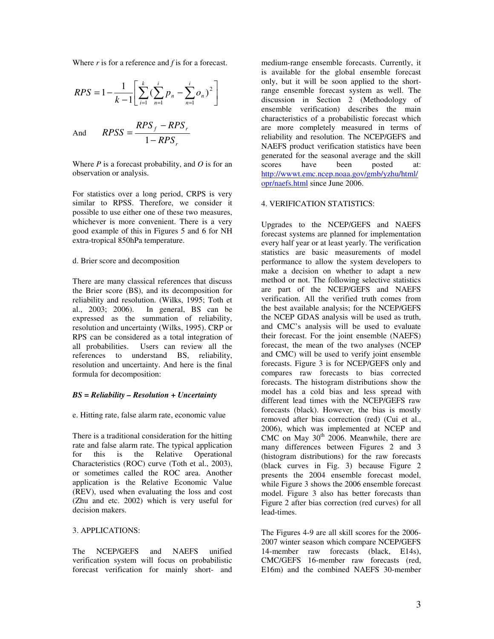Where *r* is for a reference and *f* is for a forecast.

$$
RPS = 1 - \frac{1}{k - 1} \left[ \sum_{i=1}^{k} (\sum_{n=1}^{i} p_n - \sum_{n=1}^{i} o_n)^2 \right]
$$
  
And 
$$
RPSS = \frac{RPS_f - RPS_r}{1 - RPS_r}
$$

Where  $P$  is a forecast probability, and  $O$  is for an observation or analysis.

For statistics over a long period, CRPS is very similar to RPSS. Therefore, we consider it possible to use either one of these two measures, whichever is more convenient. There is a very good example of this in Figures 5 and 6 for NH extra-tropical 850hPa temperature.

#### d. Brier score and decomposition

There are many classical references that discuss the Brier score (BS), and its decomposition for reliability and resolution. (Wilks, 1995; Toth et al., 2003; 2006). In general, BS can be expressed as the summation of reliability, resolution and uncertainty (Wilks, 1995). CRP or RPS can be considered as a total integration of all probabilities. Users can review all the references to understand BS, reliability, resolution and uncertainty. And here is the final formula for decomposition:

# *BS = Reliability – Resolution + Uncertainty*

e. Hitting rate, false alarm rate, economic value

There is a traditional consideration for the hitting rate and false alarm rate. The typical application for this is the Relative Operational Characteristics (ROC) curve (Toth et al., 2003), or sometimes called the ROC area. Another application is the Relative Economic Value (REV), used when evaluating the loss and cost (Zhu and etc. 2002) which is very useful for decision makers.

# 3. APPLICATIONS:

The NCEP/GEFS and NAEFS unified verification system will focus on probabilistic forecast verification for mainly short- and

medium-range ensemble forecasts. Currently, it is available for the global ensemble forecast only, but it will be soon applied to the shortrange ensemble forecast system as well. The discussion in Section 2 (Methodology of ensemble verification) describes the main characteristics of a probabilistic forecast which are more completely measured in terms of reliability and resolution. The NCEP/GEFS and NAEFS product verification statistics have been generated for the seasonal average and the skill scores have been posted at: http://wwwt.emc.ncep.noaa.gov/gmb/yzhu/html/ opr/naefs.html since June 2006.

# 4. VERIFICATION STATISTICS:

Upgrades to the NCEP/GEFS and NAEFS forecast systems are planned for implementation every half year or at least yearly. The verification statistics are basic measurements of model performance to allow the system developers to make a decision on whether to adapt a new method or not. The following selective statistics are part of the NCEP/GEFS and NAEFS verification. All the verified truth comes from the best available analysis; for the NCEP/GEFS the NCEP GDAS analysis will be used as truth, and CMC's analysis will be used to evaluate their forecast. For the joint ensemble (NAEFS) forecast, the mean of the two analyses (NCEP and CMC) will be used to verify joint ensemble forecasts. Figure 3 is for NCEP/GEFS only and compares raw forecasts to bias corrected forecasts. The histogram distributions show the model has a cold bias and less spread with different lead times with the NCEP/GEFS raw forecasts (black). However, the bias is mostly removed after bias correction (red) (Cui et al., 2006), which was implemented at NCEP and CMC on May  $30<sup>th</sup>$  2006. Meanwhile, there are many differences between Figures 2 and 3 (histogram distributions) for the raw forecasts (black curves in Fig. 3) because Figure 2 presents the 2004 ensemble forecast model, while Figure 3 shows the 2006 ensemble forecast model. Figure 3 also has better forecasts than Figure 2 after bias correction (red curves) for all lead-times.

The Figures 4-9 are all skill scores for the 2006- 2007 winter season which compare NCEP/GEFS 14-member raw forecasts (black, E14s), CMC/GEFS 16-member raw forecasts (red, E16m) and the combined NAEFS 30-member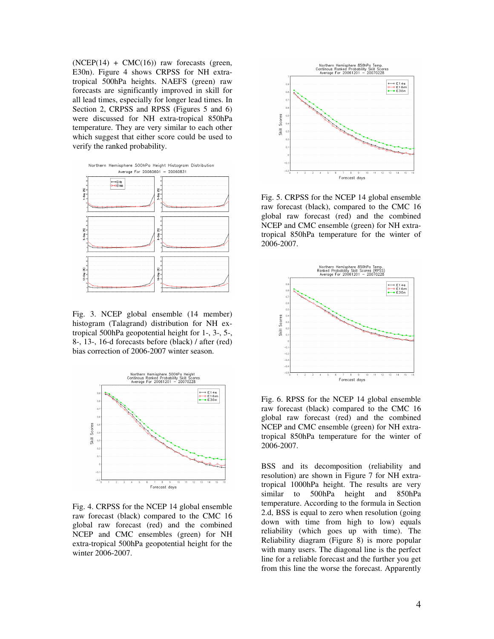$(NCEP(14) + CMC(16))$  raw forecasts (green, E30n). Figure 4 shows CRPSS for NH extratropical 500hPa heights. NAEFS (green) raw forecasts are significantly improved in skill for all lead times, especially for longer lead times. In Section 2, CRPSS and RPSS (Figures 5 and 6) were discussed for NH extra-tropical 850hPa temperature. They are very similar to each other which suggest that either score could be used to verify the ranked probability.



Fig. 3. NCEP global ensemble (14 member) histogram (Talagrand) distribution for NH extropical 500hPa geopotential height for 1-, 3-, 5-, 8-, 13-, 16-d forecasts before (black) / after (red) bias correction of 2006-2007 winter season.



Fig. 4. CRPSS for the NCEP 14 global ensemble raw forecast (black) compared to the CMC 16 global raw forecast (red) and the combined NCEP and CMC ensembles (green) for NH extra-tropical 500hPa geopotential height for the winter 2006-2007.



Fig. 5. CRPSS for the NCEP 14 global ensemble raw forecast (black), compared to the CMC 16 global raw forecast (red) and the combined NCEP and CMC ensemble (green) for NH extratropical 850hPa temperature for the winter of 2006-2007.



Fig. 6. RPSS for the NCEP 14 global ensemble raw forecast (black) compared to the CMC 16 global raw forecast (red) and the combined NCEP and CMC ensemble (green) for NH extratropical 850hPa temperature for the winter of 2006-2007.

BSS and its decomposition (reliability and resolution) are shown in Figure 7 for NH extratropical 1000hPa height. The results are very similar to 500hPa height and 850hPa temperature. According to the formula in Section 2.d, BSS is equal to zero when resolution (going down with time from high to low) equals reliability (which goes up with time). The Reliability diagram (Figure 8) is more popular with many users. The diagonal line is the perfect line for a reliable forecast and the further you get from this line the worse the forecast. Apparently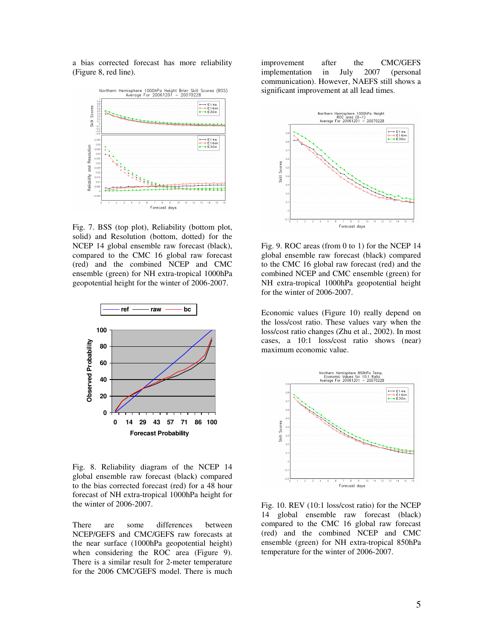a bias corrected forecast has more reliability (Figure 8, red line).



Fig. 7. BSS (top plot), Reliability (bottom plot, solid) and Resolution (bottom, dotted) for the NCEP 14 global ensemble raw forecast (black), compared to the CMC 16 global raw forecast (red) and the combined NCEP and CMC ensemble (green) for NH extra-tropical 1000hPa geopotential height for the winter of 2006-2007.



Fig. 8. Reliability diagram of the NCEP 14 global ensemble raw forecast (black) compared to the bias corrected forecast (red) for a 48 hour forecast of NH extra-tropical 1000hPa height for the winter of 2006-2007.

There are some differences between NCEP/GEFS and CMC/GEFS raw forecasts at the near surface (1000hPa geopotential height) when considering the ROC area (Figure 9). There is a similar result for 2-meter temperature for the 2006 CMC/GEFS model. There is much

improvement after the CMC/GEFS implementation in July 2007 (personal communication). However, NAEFS still shows a significant improvement at all lead times.



Fig. 9. ROC areas (from 0 to 1) for the NCEP 14 global ensemble raw forecast (black) compared to the CMC 16 global raw forecast (red) and the combined NCEP and CMC ensemble (green) for NH extra-tropical 1000hPa geopotential height for the winter of 2006-2007.

Economic values (Figure 10) really depend on the loss/cost ratio. These values vary when the loss/cost ratio changes (Zhu et al., 2002). In most cases, a 10:1 loss/cost ratio shows (near) maximum economic value.



Fig. 10. REV (10:1 loss/cost ratio) for the NCEP 14 global ensemble raw forecast (black) compared to the CMC 16 global raw forecast (red) and the combined NCEP and CMC ensemble (green) for NH extra-tropical 850hPa temperature for the winter of 2006-2007.